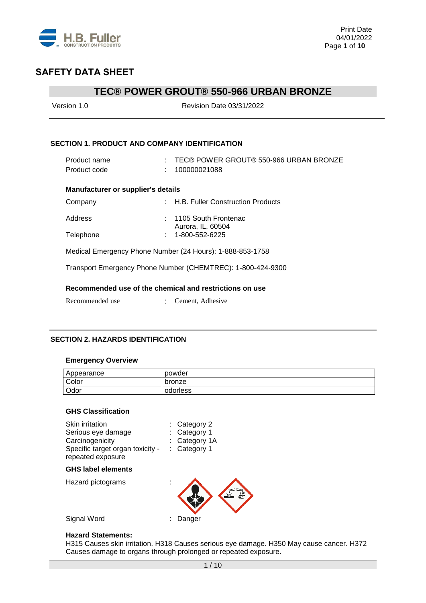

# **TEC® POWER GROUT® 550-966 URBAN BRONZE**

| Version 1.0                                          | <b>Revision Date 03/31/2022</b>                              |
|------------------------------------------------------|--------------------------------------------------------------|
| <b>SECTION 1. PRODUCT AND COMPANY IDENTIFICATION</b> |                                                              |
| Product name<br>Product code                         | $\pm$ TEC® POWER GROUT® 550-966 URBAN BRONZE<br>100000021088 |
| <b>Manufacturer or supplier's details</b>            |                                                              |
| Company                                              | : H.B. Fuller Construction Products                          |
| Address                                              | : 1105 South Frontenac<br>Aurora, IL, 60504                  |
| Telephone                                            | 1-800-552-6225                                               |
|                                                      | Medical Emergency Phone Number (24 Hours): 1-888-853-1758    |
|                                                      | Transport Emergency Phone Number (CHEMTREC): 1-800-424-9300  |
|                                                      | Recommended use of the chemical and restrictions on use      |
| Recommended use                                      | Cement, Adhesive                                             |

### **SECTION 2. HAZARDS IDENTIFICATION**

#### **Emergency Overview**

| Appearance | powder   |
|------------|----------|
| Color      | bronze   |
| Odor       | odorless |

#### **GHS Classification**

| Skin irritation<br>Serious eye damage<br>Carcinogenicity<br>Specific target organ toxicity -<br>repeated exposure | $:$ Category 2<br>: Category 1<br>: Category 1A<br>Category 1 |
|-------------------------------------------------------------------------------------------------------------------|---------------------------------------------------------------|
| <b>GHS label elements</b>                                                                                         |                                                               |
| Hazard pictograms                                                                                                 |                                                               |
| Signal Word                                                                                                       | Danger                                                        |

#### **Hazard Statements:**

H315 Causes skin irritation. H318 Causes serious eye damage. H350 May cause cancer. H372 Causes damage to organs through prolonged or repeated exposure.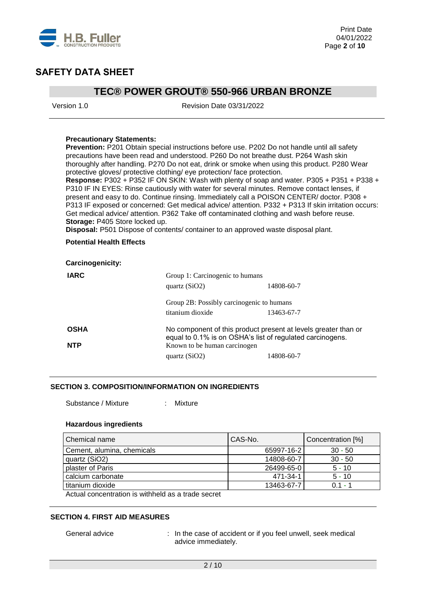

### **TEC® POWER GROUT® 550-966 URBAN BRONZE**

Version 1.0 Revision Date 03/31/2022

#### **Precautionary Statements:**

**Prevention:** P201 Obtain special instructions before use. P202 Do not handle until all safety precautions have been read and understood. P260 Do not breathe dust. P264 Wash skin thoroughly after handling. P270 Do not eat, drink or smoke when using this product. P280 Wear protective gloves/ protective clothing/ eye protection/ face protection.

**Response:** P302 + P352 IF ON SKIN: Wash with plenty of soap and water. P305 + P351 + P338 + P310 IF IN EYES: Rinse cautiously with water for several minutes. Remove contact lenses, if present and easy to do. Continue rinsing. Immediately call a POISON CENTER/ doctor. P308 + P313 IF exposed or concerned: Get medical advice/ attention. P332 + P313 If skin irritation occurs: Get medical advice/ attention. P362 Take off contaminated clothing and wash before reuse. **Storage:** P405 Store locked up.

**Disposal:** P501 Dispose of contents/ container to an approved waste disposal plant.

#### **Potential Health Effects**

| <b>Carcinogenicity:</b> |                                                           |                                                                |
|-------------------------|-----------------------------------------------------------|----------------------------------------------------------------|
| <b>IARC</b>             | Group 1: Carcinogenic to humans<br>quartz $(SiO2)$        | 14808-60-7                                                     |
|                         | Group 2B: Possibly carcinogenic to humans                 |                                                                |
|                         | titanium dioxide                                          | 13463-67-7                                                     |
| <b>OSHA</b>             | equal to 0.1% is on OSHA's list of regulated carcinogens. | No component of this product present at levels greater than or |
| <b>NTP</b>              | Known to be human carcinogen                              |                                                                |
|                         | quartz $(SiO2)$                                           | 14808-60-7                                                     |

#### **SECTION 3. COMPOSITION/INFORMATION ON INGREDIENTS**

Substance / Mixture : Mixture

#### **Hazardous ingredients**

| Chemical name                                                         | CAS-No.    | Concentration [%] |
|-----------------------------------------------------------------------|------------|-------------------|
| Cement, alumina, chemicals                                            | 65997-16-2 | $30 - 50$         |
| quartz (SiO2)                                                         | 14808-60-7 | $30 - 50$         |
| plaster of Paris                                                      | 26499-65-0 | $5 - 10$          |
| calcium carbonate                                                     | 471-34-1   | $5 - 10$          |
| titanium dioxide                                                      | 13463-67-7 | $0.1 - 1$         |
| A started a consequence of the started and the started and consequent |            |                   |

Actual concentration is withheld as a trade secret

#### **SECTION 4. FIRST AID MEASURES**

General advice : In the case of accident or if you feel unwell, seek medical advice immediately.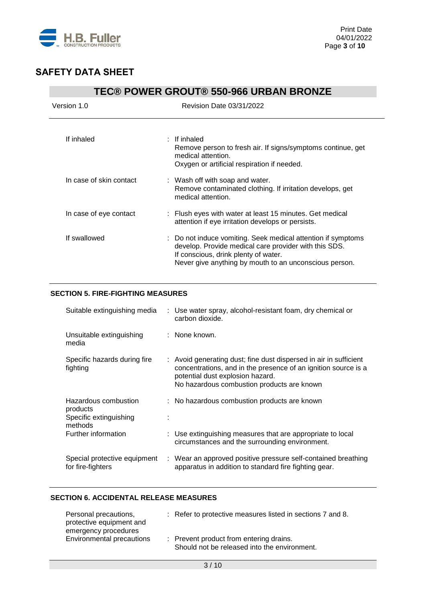

| <b>TEC® POWER GROUT® 550-966 URBAN BRONZE</b> |                                                                                                                                                                                                                         |  |
|-----------------------------------------------|-------------------------------------------------------------------------------------------------------------------------------------------------------------------------------------------------------------------------|--|
| Version 1.0                                   | <b>Revision Date 03/31/2022</b>                                                                                                                                                                                         |  |
| If inhaled                                    | $\pm$ If inhaled<br>Remove person to fresh air. If signs/symptoms continue, get<br>medical attention.<br>Oxygen or artificial respiration if needed.                                                                    |  |
| In case of skin contact                       | : Wash off with soap and water.<br>Remove contaminated clothing. If irritation develops, get<br>medical attention.                                                                                                      |  |
| In case of eye contact                        | : Flush eyes with water at least 15 minutes. Get medical<br>attention if eye irritation develops or persists.                                                                                                           |  |
| If swallowed                                  | : Do not induce vomiting. Seek medical attention if symptoms<br>develop. Provide medical care provider with this SDS.<br>If conscious, drink plenty of water.<br>Never give anything by mouth to an unconscious person. |  |

### **SECTION 5. FIRE-FIGHTING MEASURES**

| Suitable extinguishing media                                          | : Use water spray, alcohol-resistant foam, dry chemical or<br>carbon dioxide.                                                                                                                                         |
|-----------------------------------------------------------------------|-----------------------------------------------------------------------------------------------------------------------------------------------------------------------------------------------------------------------|
| Unsuitable extinguishing<br>media                                     | : None known.                                                                                                                                                                                                         |
| Specific hazards during fire<br>fighting                              | : Avoid generating dust; fine dust dispersed in air in sufficient<br>concentrations, and in the presence of an ignition source is a<br>potential dust explosion hazard.<br>No hazardous combustion products are known |
| Hazardous combustion<br>products<br>Specific extinguishing<br>methods | : No hazardous combustion products are known                                                                                                                                                                          |
| Further information                                                   | : Use extinguishing measures that are appropriate to local<br>circumstances and the surrounding environment.                                                                                                          |
| Special protective equipment<br>for fire-fighters                     | : Wear an approved positive pressure self-contained breathing<br>apparatus in addition to standard fire fighting gear.                                                                                                |

### **SECTION 6. ACCIDENTAL RELEASE MEASURES**

| Personal precautions,<br>protective equipment and<br>emergency procedures | : Refer to protective measures listed in sections 7 and 8.                              |
|---------------------------------------------------------------------------|-----------------------------------------------------------------------------------------|
| Environmental precautions                                                 | : Prevent product from entering drains.<br>Should not be released into the environment. |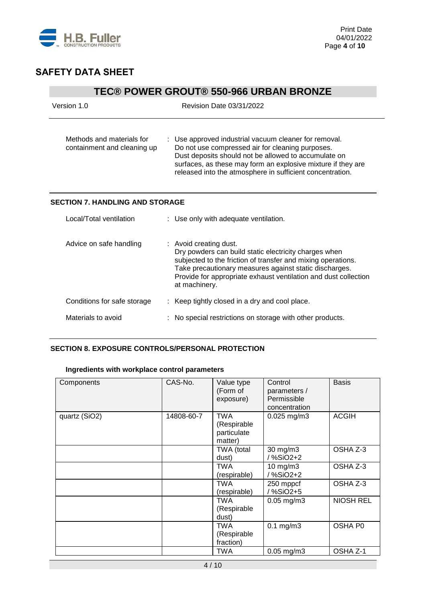

# **TEC® POWER GROUT® 550-966 URBAN BRONZE**

| Version 1.0                                              | <b>Revision Date 03/31/2022</b>                                                                                                                                                                                                                                                                |
|----------------------------------------------------------|------------------------------------------------------------------------------------------------------------------------------------------------------------------------------------------------------------------------------------------------------------------------------------------------|
| Methods and materials for<br>containment and cleaning up | : Use approved industrial vacuum cleaner for removal.<br>Do not use compressed air for cleaning purposes.<br>Dust deposits should not be allowed to accumulate on<br>surfaces, as these may form an explosive mixture if they are<br>released into the atmosphere in sufficient concentration. |
| <b>SECTION 7. HANDLING AND STORAGE</b>                   |                                                                                                                                                                                                                                                                                                |
| Local/Total ventilation                                  | : Use only with adequate ventilation.                                                                                                                                                                                                                                                          |
| Advice on safe handling                                  | : Avoid creating dust.<br>Dry powders can build static electricity charges when<br>subjected to the friction of transfer and mixing operations.<br>Take precautionary measures against static discharges.<br>Provide for appropriate exhaust ventilation and dust collection<br>at machinery.  |
| Conditions for safe storage                              | : Keep tightly closed in a dry and cool place.                                                                                                                                                                                                                                                 |
| Materials to avoid                                       | No special restrictions on storage with other products.                                                                                                                                                                                                                                        |

#### **SECTION 8. EXPOSURE CONTROLS/PERSONAL PROTECTION**

### **Ingredients with workplace control parameters**

| Components    | CAS-No.    | Value type<br>(Form of<br>exposure)                 | Control<br>parameters /<br>Permissible<br>concentration | <b>Basis</b>     |
|---------------|------------|-----------------------------------------------------|---------------------------------------------------------|------------------|
| quartz (SiO2) | 14808-60-7 | <b>TWA</b><br>(Respirable<br>particulate<br>matter) | $0.025$ mg/m3                                           | <b>ACGIH</b>     |
|               |            | TWA (total<br>dust)                                 | 30 mg/m3<br>/ %SiO2+2                                   | OSHA Z-3         |
|               |            | TWA<br>(respirable)                                 | $10$ mg/m $3$<br>/ %SiO2+2                              | OSHA Z-3         |
|               |            | TWA<br>(respirable)                                 | 250 mppcf<br>/%SiO2+5                                   | OSHA Z-3         |
|               |            | TWA<br>(Respirable<br>dust)                         | $0.05$ mg/m $3$                                         | <b>NIOSH REL</b> |
|               |            | TWA<br>(Respirable<br>fraction)                     | $0.1$ mg/m $3$                                          | OSHA P0          |
|               |            | TWA                                                 | $0.05$ mg/m $3$                                         | OSHA Z-1         |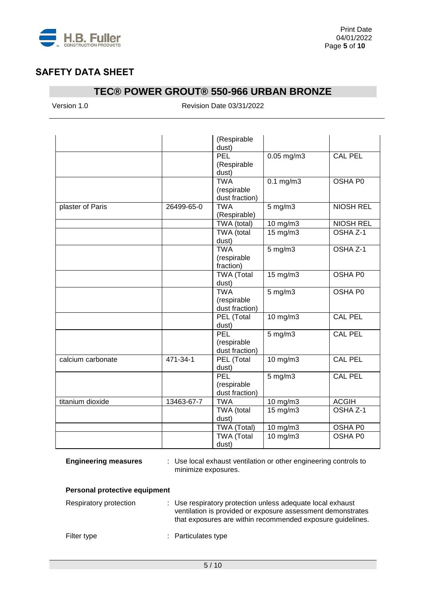

# **TEC® POWER GROUT® 550-966 URBAN BRONZE**

Version 1.0 Revision Date 03/31/2022

|                   |            | (Respirable       |                  |                     |
|-------------------|------------|-------------------|------------------|---------------------|
|                   |            | dust)             |                  |                     |
|                   |            | PEL               | $0.05$ mg/m3     | <b>CAL PEL</b>      |
|                   |            | (Respirable       |                  |                     |
|                   |            | dust)             |                  |                     |
|                   |            | <b>TWA</b>        | $0.1$ mg/m $3$   | OSHA P0             |
|                   |            | (respirable       |                  |                     |
|                   |            | dust fraction)    |                  |                     |
| plaster of Paris  | 26499-65-0 | <b>TWA</b>        | $5 \text{ mg/m}$ | <b>NIOSH REL</b>    |
|                   |            | (Respirable)      |                  |                     |
|                   |            | TWA (total)       | 10 mg/m3         | <b>NIOSH REL</b>    |
|                   |            | TWA (total        | $15$ mg/m $3$    | OSHA <sub>Z-1</sub> |
|                   |            | dust)             |                  |                     |
|                   |            | <b>TWA</b>        | $5$ mg/m $3$     | OSHA Z-1            |
|                   |            | (respirable       |                  |                     |
|                   |            | fraction)         |                  |                     |
|                   |            | <b>TWA (Total</b> | 15 mg/m3         | OSHA P0             |
|                   |            | dust)             |                  |                     |
|                   |            | <b>TWA</b>        | $5$ mg/m $3$     | OSHA P0             |
|                   |            | (respirable       |                  |                     |
|                   |            | dust fraction)    |                  |                     |
|                   |            | PEL (Total        | 10 mg/m3         | CAL PEL             |
|                   |            | dust)             |                  |                     |
|                   |            | PEL               | $5$ mg/m $3$     | <b>CAL PEL</b>      |
|                   |            | (respirable       |                  |                     |
|                   |            | dust fraction)    |                  |                     |
| calcium carbonate | 471-34-1   | PEL (Total        | $10$ mg/m $3$    | <b>CAL PEL</b>      |
|                   |            | dust)             |                  |                     |
|                   |            | PEL               | $5$ mg/m $3$     | <b>CAL PEL</b>      |
|                   |            | (respirable       |                  |                     |
|                   |            | dust fraction)    |                  |                     |
| titanium dioxide  | 13463-67-7 | <b>TWA</b>        | $10$ mg/m $3$    | <b>ACGIH</b>        |
|                   |            | TWA (total        | 15 mg/m3         | OSHA <sub>Z-1</sub> |
|                   |            | dust)             |                  |                     |
|                   |            | TWA (Total)       | 10 mg/m3         | OSHA P0             |
|                   |            | <b>TWA</b> (Total | 10 mg/m3         | OSHA P0             |
|                   |            | dust)             |                  |                     |

**Engineering measures** : Use local exhaust ventilation or other engineering controls to minimize exposures.

### **Personal protective equipment**

| Respiratory protection | : Use respiratory protection unless adequate local exhaust<br>ventilation is provided or exposure assessment demonstrates<br>that exposures are within recommended exposure guidelines. |
|------------------------|-----------------------------------------------------------------------------------------------------------------------------------------------------------------------------------------|
| Filter type            | : Particulates type                                                                                                                                                                     |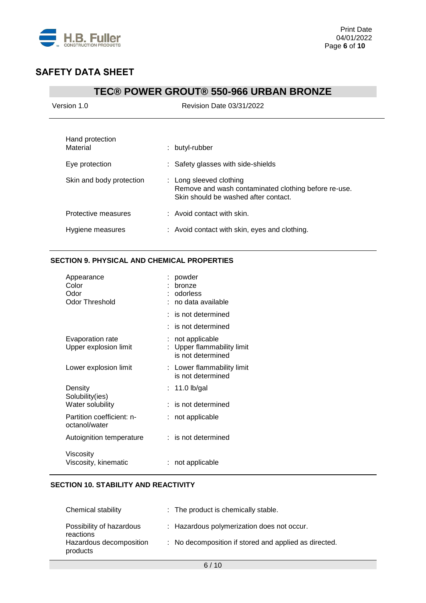

## **TEC® POWER GROUT® 550-966 URBAN BRONZE**

| Version 1.0                 | Revision Date 03/31/2022                                                                                                |  |  |
|-----------------------------|-------------------------------------------------------------------------------------------------------------------------|--|--|
| Hand protection<br>Material | : butyl-rubber                                                                                                          |  |  |
| Eye protection              | Safety glasses with side-shields                                                                                        |  |  |
| Skin and body protection    | : Long sleeved clothing<br>Remove and wash contaminated clothing before re-use.<br>Skin should be washed after contact. |  |  |
| Protective measures         | $:$ Avoid contact with skin.                                                                                            |  |  |
| Hygiene measures            | : Avoid contact with skin, eyes and clothing.                                                                           |  |  |
|                             |                                                                                                                         |  |  |

### **SECTION 9. PHYSICAL AND CHEMICAL PROPERTIES**

| Appearance<br>Color<br>Odor<br>Odor Threshold | powder<br>bronze<br>odorless<br>: no data available               |
|-----------------------------------------------|-------------------------------------------------------------------|
|                                               | $:$ is not determined                                             |
|                                               | is not determined                                                 |
| Evaporation rate<br>Upper explosion limit     | not applicable<br>: Upper flammability limit<br>is not determined |
| Lower explosion limit                         | : Lower flammability limit<br>is not determined                   |
| Density<br>Solubility(ies)                    | $: 11.0$ lb/gal                                                   |
| Water solubility                              | is not determined                                                 |
| Partition coefficient: n-<br>octanol/water    | not applicable                                                    |
| Autoignition temperature                      | $:$ is not determined                                             |
| Viscosity<br>Viscosity, kinematic             | not applicable                                                    |

### **SECTION 10. STABILITY AND REACTIVITY**

| <b>Chemical stability</b>             | : The product is chemically stable.                   |
|---------------------------------------|-------------------------------------------------------|
| Possibility of hazardous<br>reactions | : Hazardous polymerization does not occur.            |
| Hazardous decomposition<br>products   | : No decomposition if stored and applied as directed. |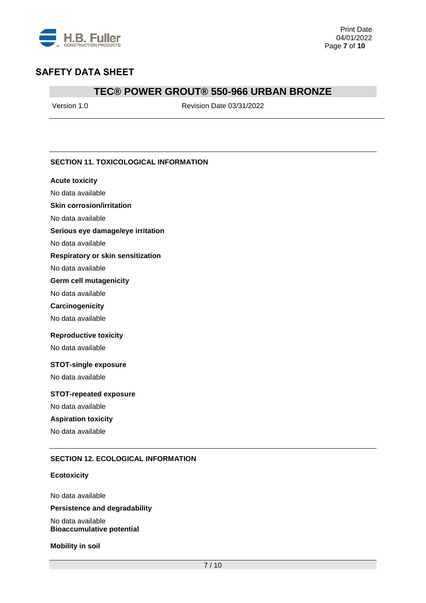

### **TEC® POWER GROUT® 550-966 URBAN BRONZE**

Version 1.0 Revision Date 03/31/2022

### **SECTION 11. TOXICOLOGICAL INFORMATION**

#### **Acute toxicity**

No data available

#### **Skin corrosion/irritation**

No data available

#### **Serious eye damage/eye irritation**

No data available

#### **Respiratory or skin sensitization**

No data available

#### **Germ cell mutagenicity**

No data available

#### **Carcinogenicity**

No data available

#### **Reproductive toxicity**

No data available

#### **STOT-single exposure**

No data available

#### **STOT-repeated exposure**

No data available

### **Aspiration toxicity**

No data available

#### **SECTION 12. ECOLOGICAL INFORMATION**

#### **Ecotoxicity**

No data available **Persistence and degradability**

No data available **Bioaccumulative potential**

**Mobility in soil**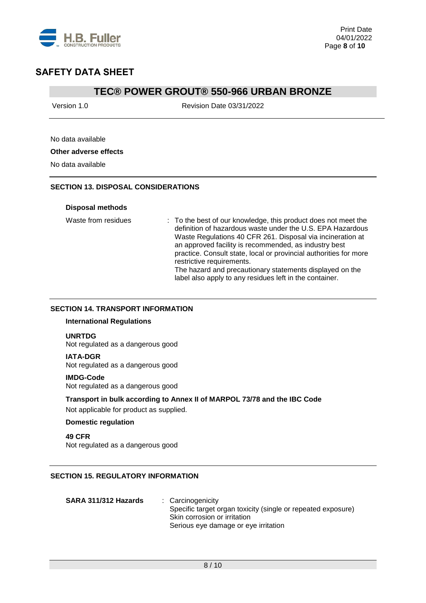

### **TEC® POWER GROUT® 550-966 URBAN BRONZE**

Version 1.0 Revision Date 03/31/2022

### No data available

#### **Other adverse effects**

No data available

#### **SECTION 13. DISPOSAL CONSIDERATIONS**

#### **Disposal methods**

Waste from residues : To the best of our knowledge, this product does not meet the definition of hazardous waste under the U.S. EPA Hazardous Waste Regulations 40 CFR 261. Disposal via incineration at an approved facility is recommended, as industry best practice. Consult state, local or provincial authorities for more restrictive requirements. The hazard and precautionary statements displayed on the label also apply to any residues left in the container.

#### **SECTION 14. TRANSPORT INFORMATION**

#### **International Regulations**

#### **UNRTDG**

Not regulated as a dangerous good

#### **IATA-DGR**

Not regulated as a dangerous good

#### **IMDG-Code**

Not regulated as a dangerous good

#### **Transport in bulk according to Annex II of MARPOL 73/78 and the IBC Code**

Not applicable for product as supplied.

#### **Domestic regulation**

**49 CFR** Not regulated as a dangerous good

### **SECTION 15. REGULATORY INFORMATION**

| SARA 311/312 Hazards | : Carcinogenicity                                            |
|----------------------|--------------------------------------------------------------|
|                      | Specific target organ toxicity (single or repeated exposure) |
|                      | Skin corrosion or irritation                                 |
|                      | Serious eye damage or eye irritation                         |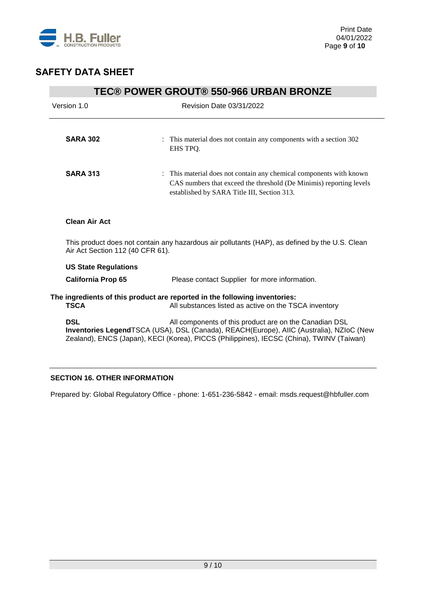

| <b>TEC® POWER GROUT® 550-966 URBAN BRONZE</b>                                                                                      |                                                                                                                                                                                                                                               |  |  |  |
|------------------------------------------------------------------------------------------------------------------------------------|-----------------------------------------------------------------------------------------------------------------------------------------------------------------------------------------------------------------------------------------------|--|--|--|
| Version 1.0                                                                                                                        | <b>Revision Date 03/31/2022</b>                                                                                                                                                                                                               |  |  |  |
|                                                                                                                                    |                                                                                                                                                                                                                                               |  |  |  |
| <b>SARA 302</b>                                                                                                                    | : This material does not contain any components with a section 302<br>EHS TPO.                                                                                                                                                                |  |  |  |
| <b>SARA 313</b>                                                                                                                    | : This material does not contain any chemical components with known<br>CAS numbers that exceed the threshold (De Minimis) reporting levels<br>established by SARA Title III, Section 313.                                                     |  |  |  |
| <b>Clean Air Act</b>                                                                                                               |                                                                                                                                                                                                                                               |  |  |  |
| This product does not contain any hazardous air pollutants (HAP), as defined by the U.S. Clean<br>Air Act Section 112 (40 CFR 61). |                                                                                                                                                                                                                                               |  |  |  |
| <b>US State Regulations</b>                                                                                                        |                                                                                                                                                                                                                                               |  |  |  |
| <b>California Prop 65</b>                                                                                                          | Please contact Supplier for more information.                                                                                                                                                                                                 |  |  |  |
| <b>TSCA</b>                                                                                                                        | The ingredients of this product are reported in the following inventories:<br>All substances listed as active on the TSCA inventory                                                                                                           |  |  |  |
| <b>DSL</b>                                                                                                                         | All components of this product are on the Canadian DSL<br>Inventories LegendTSCA (USA), DSL (Canada), REACH(Europe), AIIC (Australia), NZIoC (New<br>Zealand), ENCS (Japan), KECI (Korea), PICCS (Philippines), IECSC (China), TWINV (Taiwan) |  |  |  |

## **SECTION 16. OTHER INFORMATION**

Prepared by: Global Regulatory Office - phone: 1-651-236-5842 - email: msds.request@hbfuller.com